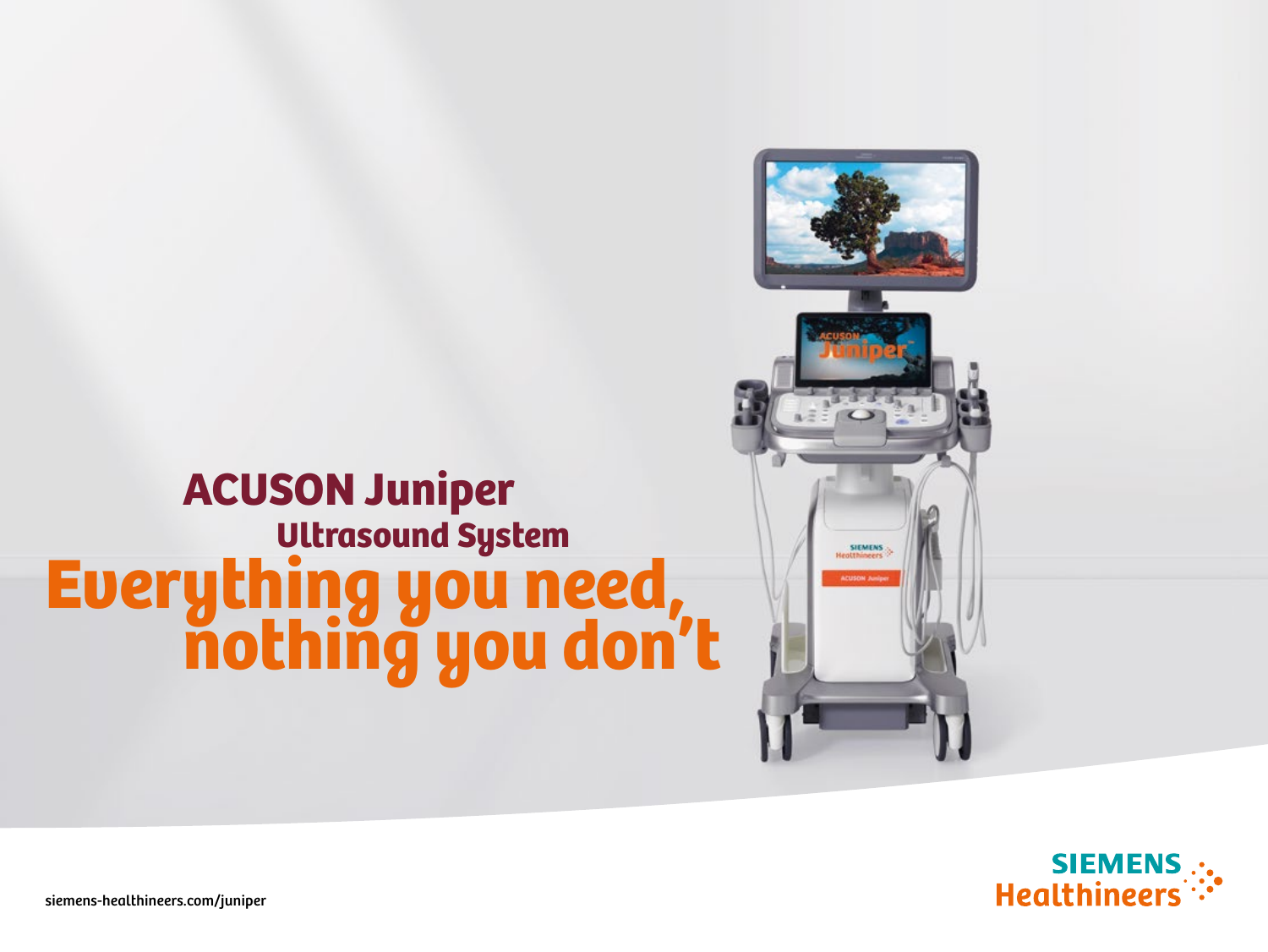# uttrasound System<br>**Everything you need,<br>nothing you don't** ACUSON Juniper





siemens-healthineers.com/juniper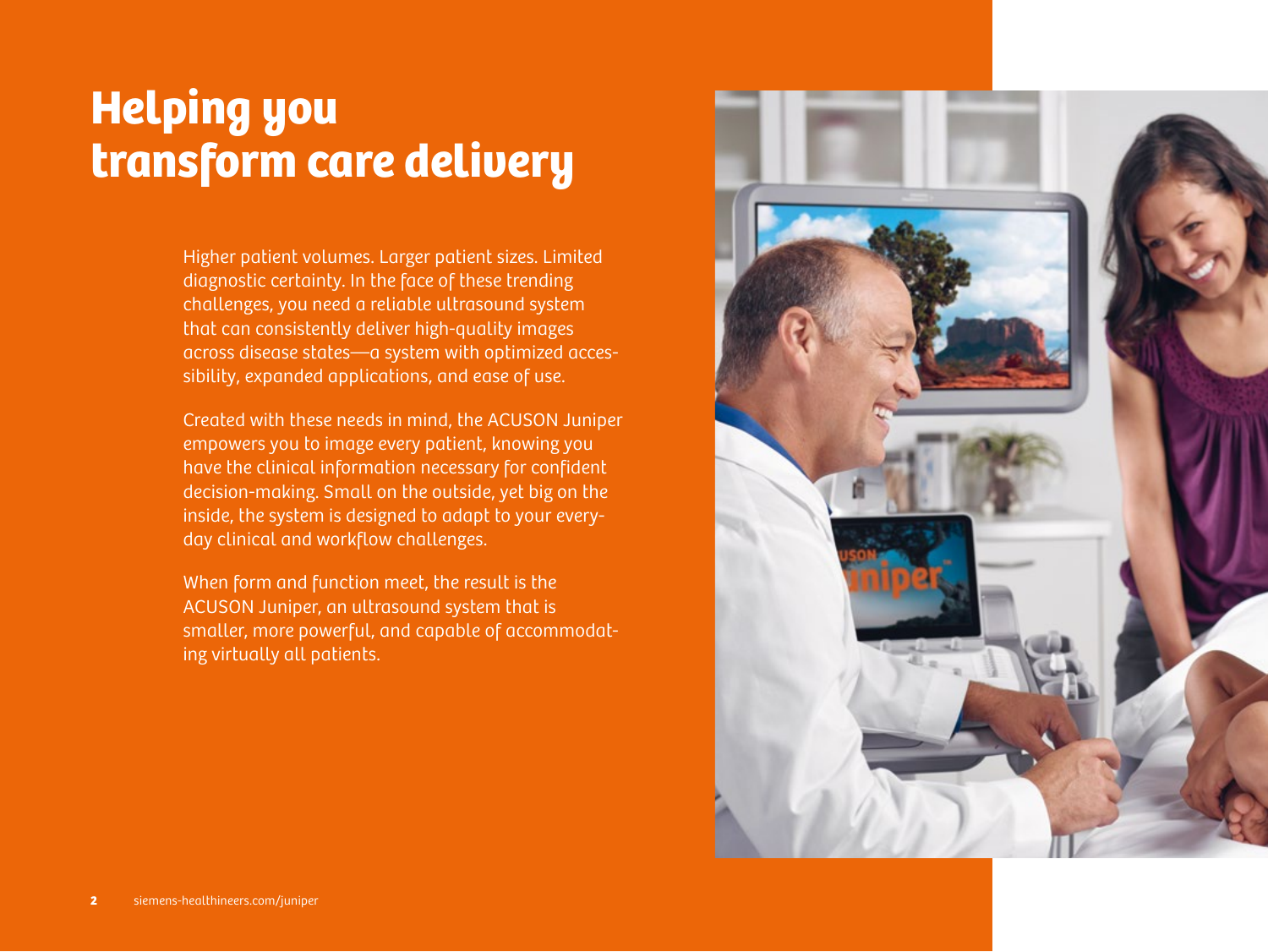# Helping you transform care delivery

Higher patient volumes. Larger patient sizes. Limited diagnostic certainty. In the face of these trending challenges, you need a reliable ultrasound system that can consistently deliver high-quality images across disease states—a system with optimized accessibility, expanded applications, and ease of use.

Created with these needs in mind, the ACUSON Juniper empowers you to image every patient, knowing you have the clinical information necessary for confident decision-making. Small on the outside, yet big on the inside, the system is designed to adapt to your everyday clinical and workflow challenges.

When form and function meet, the result is the ACUSON Juniper, an ultrasound system that is smaller, more powerful, and capable of accommodating virtually all patients.

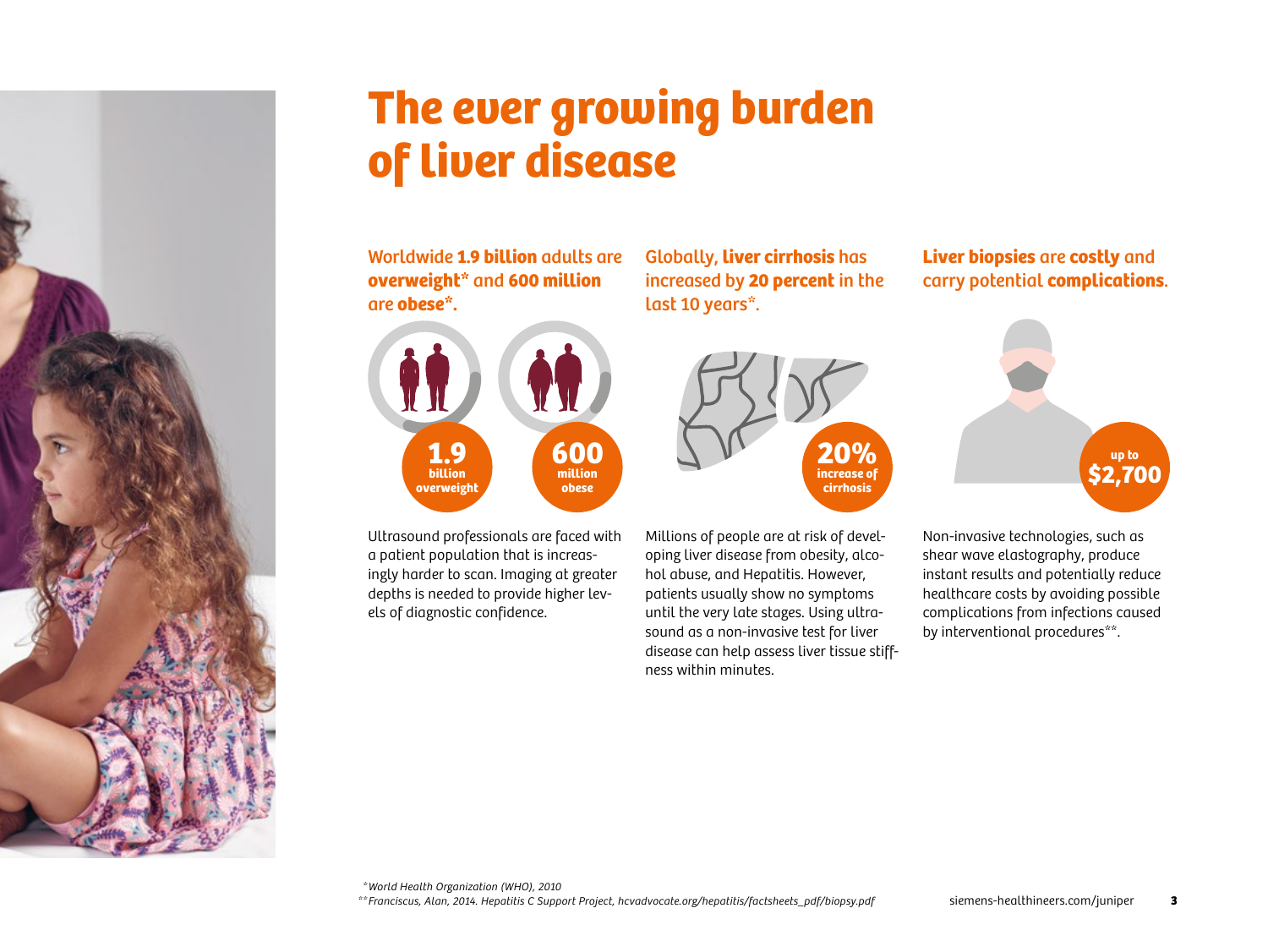

# The ever growing burden of liver disease

Worldwide **1.9 billion** adults are **overweight\*** and **600 million**  are **obese\*.**



Ultrasound professionals are faced with a patient population that is increasingly harder to scan. Imaging at greater depths is needed to provide higher levels of diagnostic confidence.

Globally, **liver cirrhosis** has increased by **20 percent** in the last 10 years\*.



Millions of people are at risk of developing liver disease from obesity, alcohol abuse, and Hepatitis. However, patients usually show no symptoms until the very late stages. Using ultrasound as a non-invasive test for liver disease can help assess liver tissue stiffness within minutes.

### **Liver biopsies** are **costly** and carry potential **complications**.



Non-invasive technologies, such as shear wave elastography, produce instant results and potentially reduce healthcare costs by avoiding possible complications from infections caused by interventional procedures\*\*.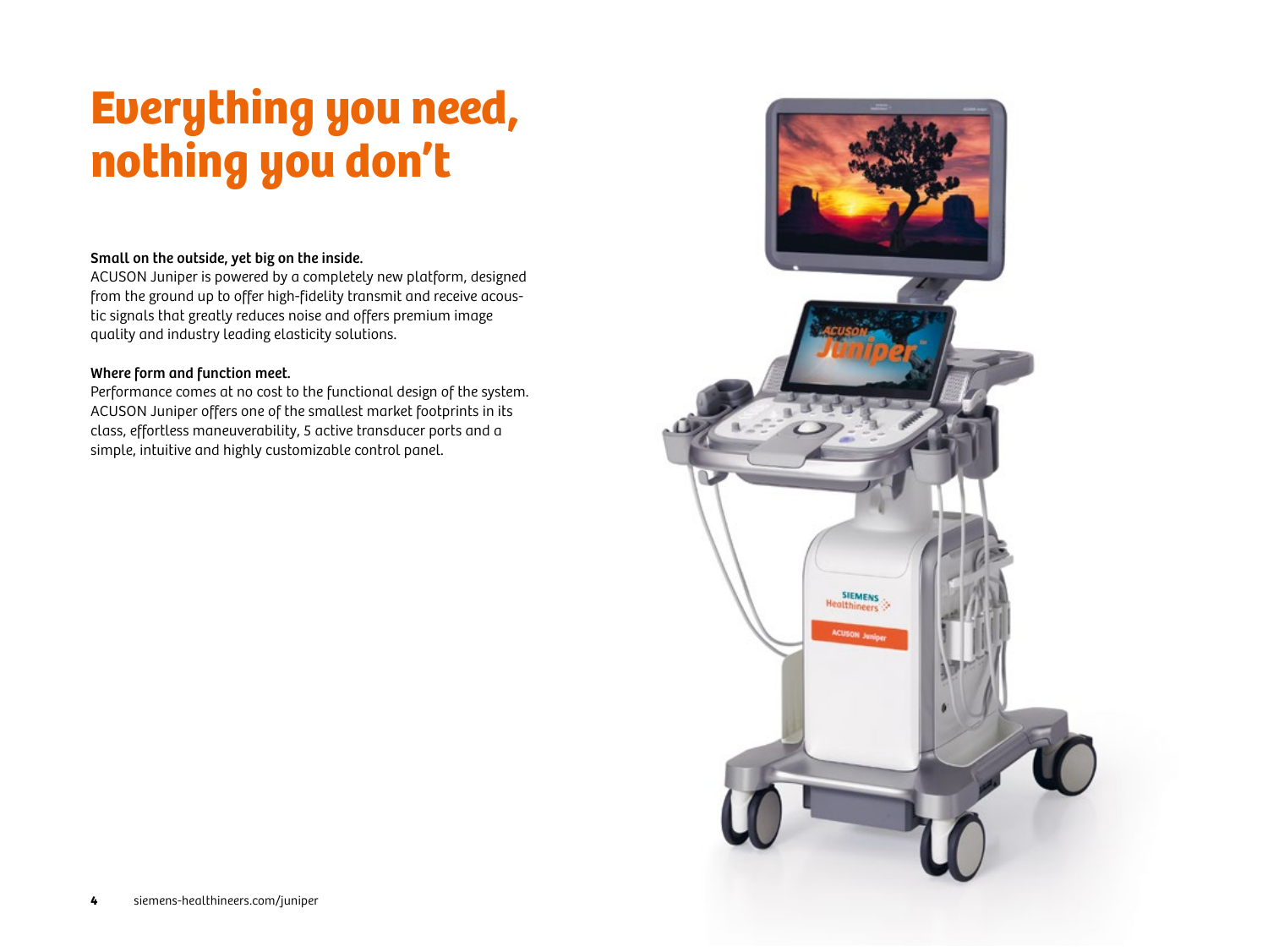# Everything you need, nothing you don't

### Small on the outside, yet big on the inside.

ACUSON Juniper is powered by a completely new platform, designed from the ground up to offer high-fidelity transmit and receive acoustic signals that greatly reduces noise and offers premium image quality and industry leading elasticity solutions.

### Where form and function meet.

Performance comes at no cost to the functional design of the system. ACUSON Juniper offers one of the smallest market footprints in its class, effortless maneuverability, 5 active transducer ports and a simple, intuitive and highly customizable control panel.

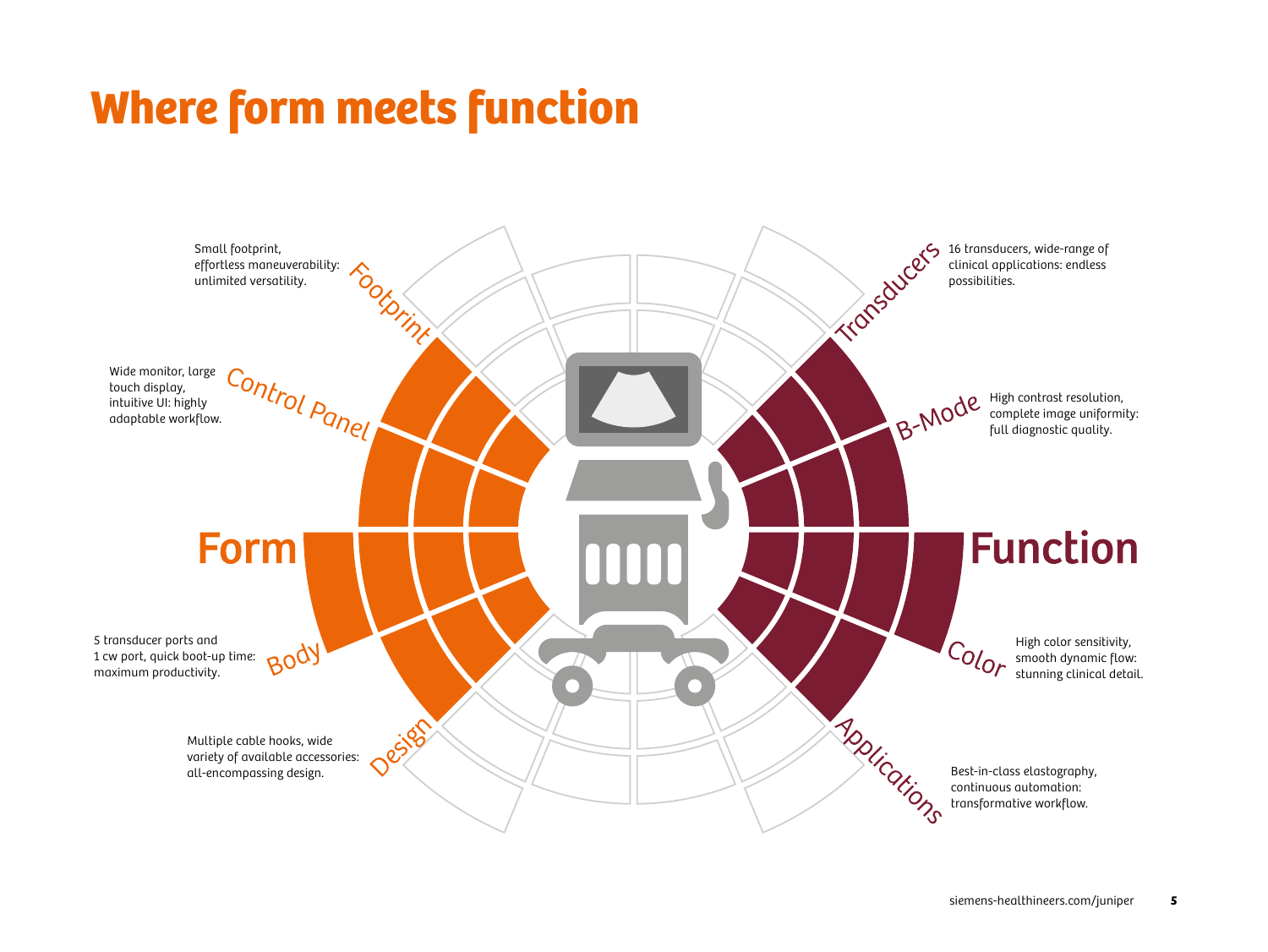# Where form meets function

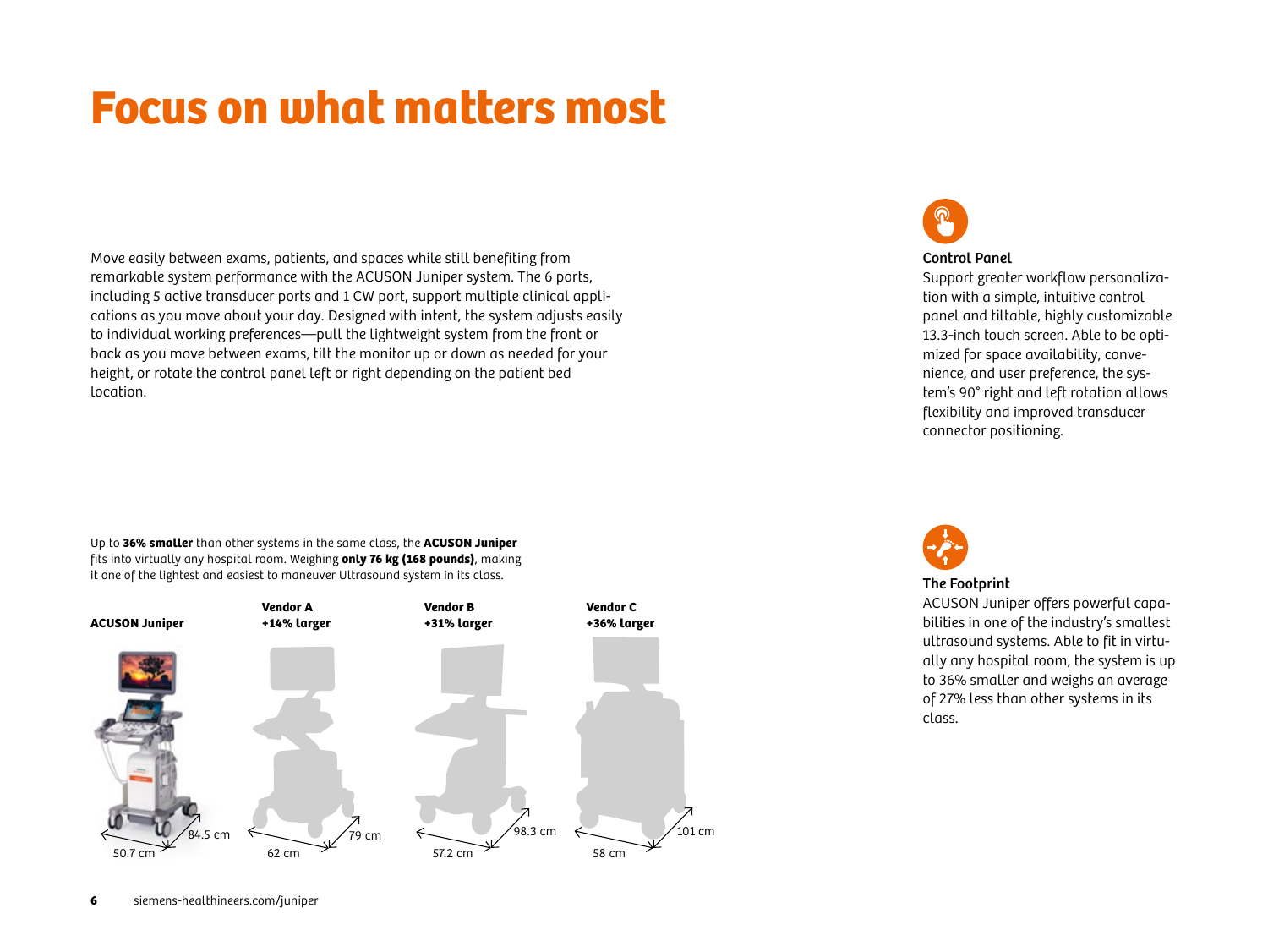# Focus on what matters most

Move easily between exams, patients, and spaces while still benefiting from remarkable system performance with the ACUSON Juniper system. The 6 ports, including 5 active transducer ports and 1 CW port, support multiple clinical applications as you move about your day. Designed with intent, the system adjusts easily to individual working preferences—pull the lightweight system from the front or back as you move between exams, tilt the monitor up or down as needed for your height, or rotate the control panel left or right depending on the patient bed location.

Up to **36% smaller** than other systems in the same class, the **ACUSON Juniper** fits into virtually any hospital room. Weighing **only 76 kg (168 pounds)**, making it one of the lightest and easiest to maneuver Ultrasound system in its class.

![](_page_5_Figure_3.jpeg)

![](_page_5_Picture_4.jpeg)

#### Control Panel

Support greater workflow personalization with a simple, intuitive control panel and tiltable, highly customizable 13.3-inch touch screen. Able to be optimized for space availability, convenience, and user preference, the system's 90° right and left rotation allows flexibility and improved transducer connector positioning.

![](_page_5_Picture_7.jpeg)

### The Footprint

ACUSON Juniper offers powerful capabilities in one of the industry's smallest ultrasound systems. Able to fit in virtually any hospital room, the system is up to 36% smaller and weighs an average of 27% less than other systems in its class.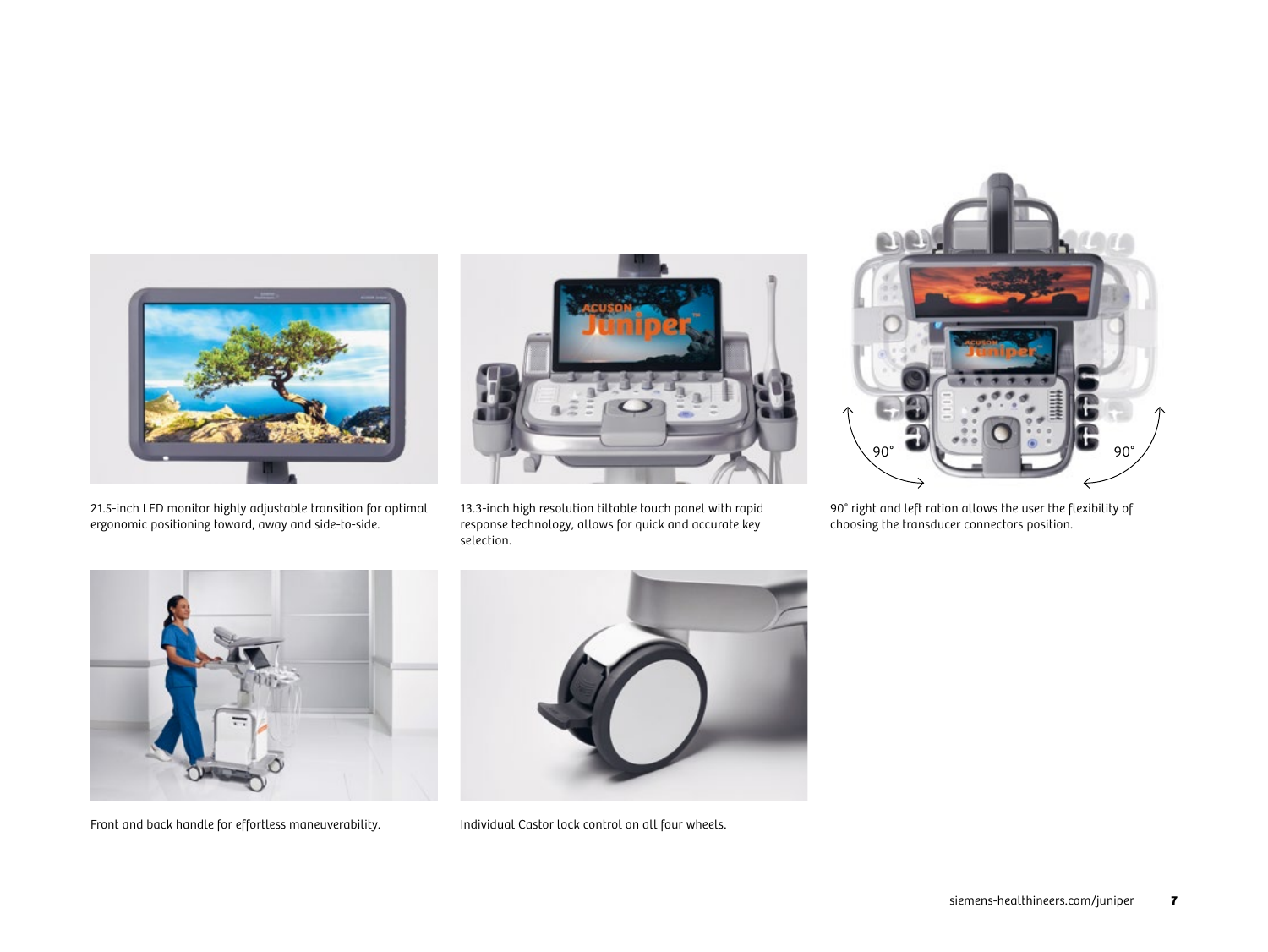![](_page_6_Picture_0.jpeg)

21.5-inch LED monitor highly adjustable transition for optimal ergonomic positioning toward, away and side-to-side.

![](_page_6_Picture_2.jpeg)

13.3-inch high resolution tiltable touch panel with rapid response technology, allows for quick and accurate key selection.

![](_page_6_Picture_4.jpeg)

90° right and left ration allows the user the flexibility of choosing the transducer connectors position.

![](_page_6_Picture_6.jpeg)

Front and back handle for effortless maneuverability. Individual Castor lock control on all four wheels.

![](_page_6_Picture_8.jpeg)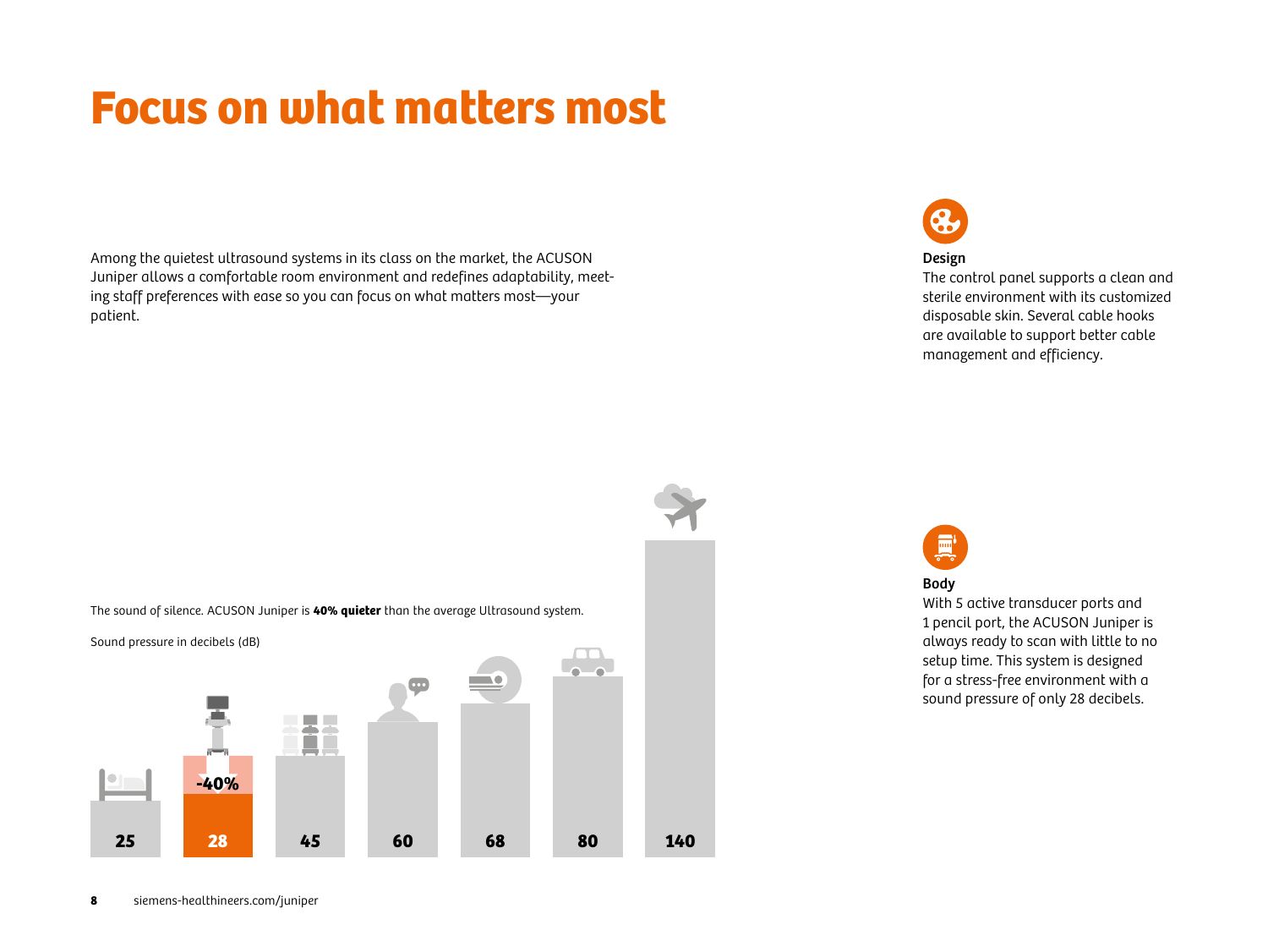# Focus on what matters most

Among the quietest ultrasound systems in its class on the market, the ACUSON Juniper allows a comfortable room environment and redefines adaptability, meeting staff preferences with ease so you can focus on what matters most—your patient.

![](_page_7_Picture_2.jpeg)

### Design

The control panel supports a clean and sterile environment with its customized disposable skin. Several cable hooks are available to support better cable management and efficiency.

![](_page_7_Figure_5.jpeg)

![](_page_7_Figure_6.jpeg)

![](_page_7_Picture_7.jpeg)

### Body

With 5 active transducer ports and 1 pencil port, the ACUSON Juniper is always ready to scan with little to no setup time. This system is designed for a stress-free environment with a sound pressure of only 28 decibels.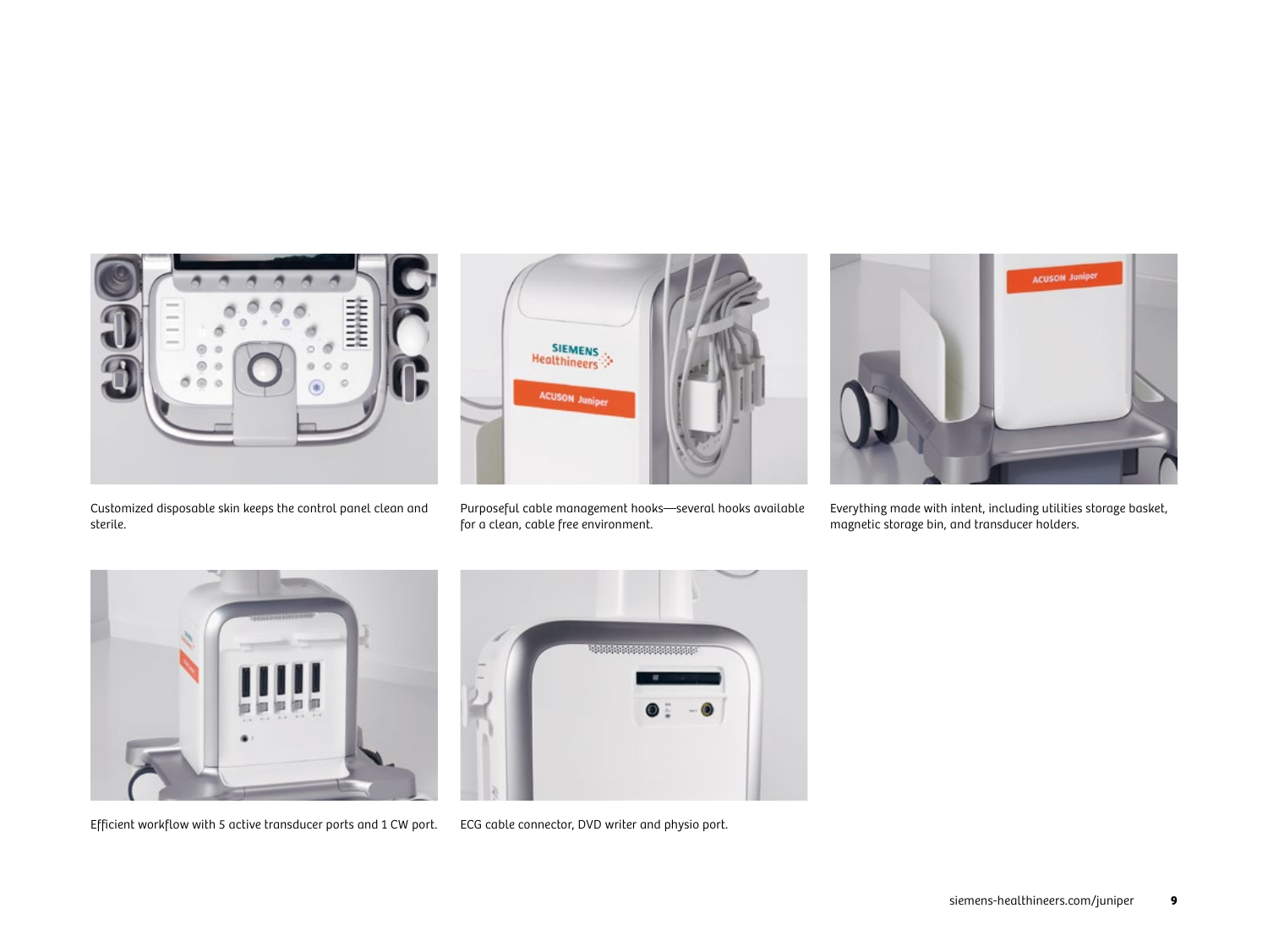![](_page_8_Picture_0.jpeg)

Customized disposable skin keeps the control panel clean and sterile.

![](_page_8_Picture_2.jpeg)

Purposeful cable management hooks—several hooks available for a clean, cable free environment.

![](_page_8_Picture_4.jpeg)

Everything made with intent, including utilities storage basket, magnetic storage bin, and transducer holders.

![](_page_8_Picture_6.jpeg)

Efficient workflow with 5 active transducer ports and 1 CW port. ECG cable connector, DVD writer and physio port.

![](_page_8_Picture_8.jpeg)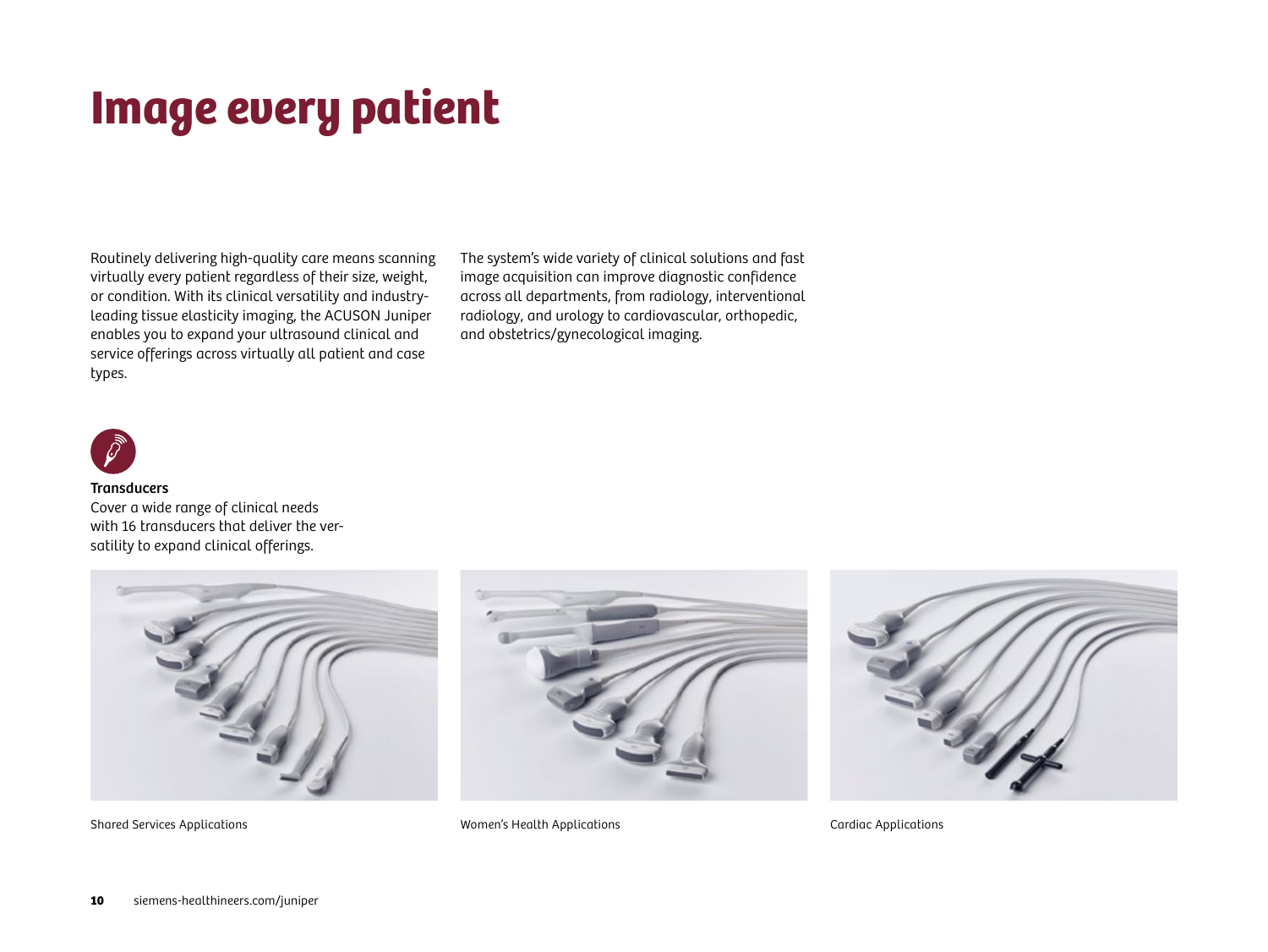# Image every patient

Routinely delivering high-quality care means scanning virtually every patient regardless of their size, weight, or condition. With its clinical versatility and industryleading tissue elasticity imaging, the ACUSON Juniper enables you to expand your ultrasound clinical and service offerings across virtually all patient and case types.

The system's wide variety of clinical solutions and fast image acquisition can improve diagnostic confidence across all departments, from radiology, interventional radiology, and urology to cardiovascular, orthopedic, and obstetrics/gynecological imaging.

![](_page_9_Picture_3.jpeg)

#### **Transducers**

Cover a wide range of clinical needs with 16 transducers that deliver the versatility to expand clinical offerings.

![](_page_9_Picture_6.jpeg)

![](_page_9_Picture_8.jpeg)

Shared Services Applications Women's Health Applications Cardiac Applications

![](_page_9_Picture_10.jpeg)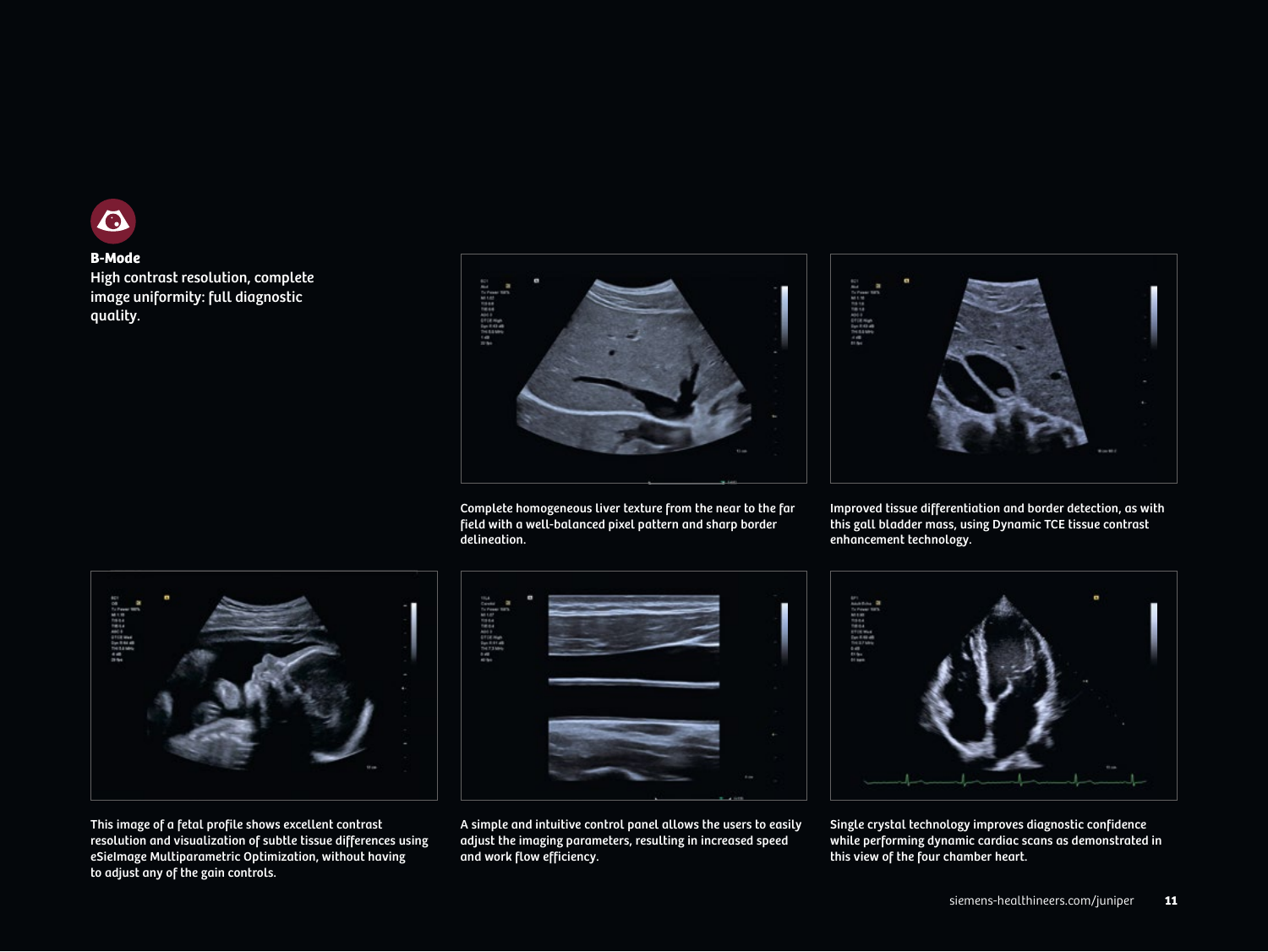![](_page_10_Picture_0.jpeg)

### **B-Mode**

High contrast resolution, complete image uniformity: full diagnostic quality.

![](_page_10_Picture_3.jpeg)

Complete homogeneous liver texture from the near to the far field with a well-balanced pixel pattern and sharp border delineation.

![](_page_10_Picture_5.jpeg)

Improved tissue differentiation and border detection, as with this gall bladder mass, using Dynamic TCE tissue contrast enhancement technology.

![](_page_10_Picture_7.jpeg)

This image of a fetal profile shows excellent contrast resolution and visualization of subtle tissue differences using eSieImage Multiparametric Optimization, without having to adjust any of the gain controls.

![](_page_10_Picture_9.jpeg)

A simple and intuitive control panel allows the users to easily adjust the imaging parameters, resulting in increased speed and work flow efficiency.

![](_page_10_Picture_11.jpeg)

Single crystal technology improves diagnostic confidence while performing dynamic cardiac scans as demonstrated in this view of the four chamber heart.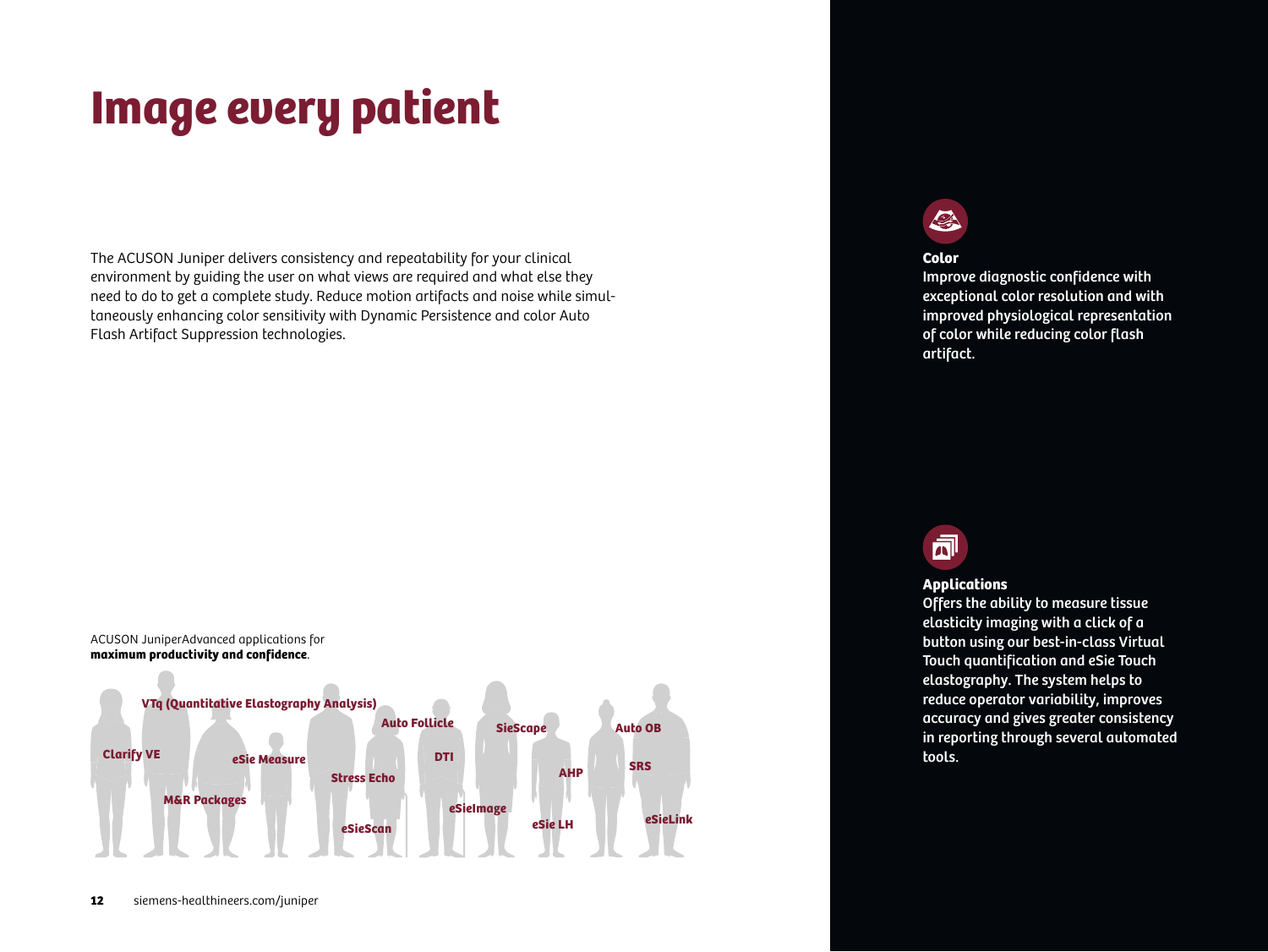# Image every patient

The ACUSON Juniper delivers consistency and repeatability for your clinical environment by guiding the user on what views are required and what else they need to do to get a complete study. Reduce motion artifacts and noise while simultaneously enhancing color sensitivity with Dynamic Persistence and color Auto Flash Artifact Suppression technologies.

![](_page_11_Figure_2.jpeg)

### $\mathbb{Z}$

### **Color**

Improve diagnostic confidence with exceptional color resolution and with improved physiological representation of color while reducing color flash artifact.

![](_page_11_Picture_6.jpeg)

### **Applications**

Offers the ability to measure tissue elasticity imaging with a click of a button using our best-in-class Virtual Touch quantification and eSie Touch elastography. The system helps to reduce operator variability, improves accuracy and gives greater consistency in reporting through several automated tools.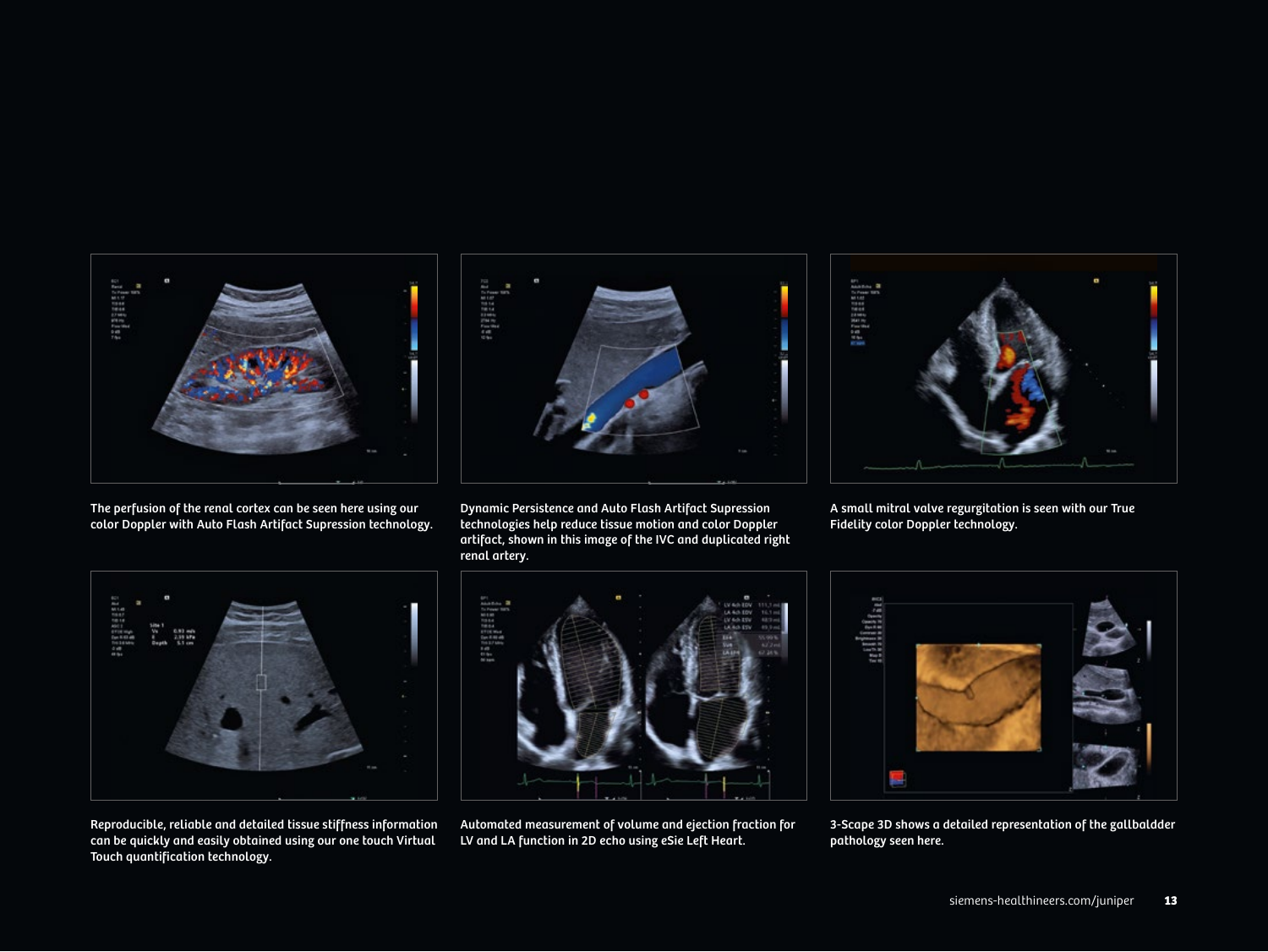![](_page_12_Picture_0.jpeg)

The perfusion of the renal cortex can be seen here using our color Doppler with Auto Flash Artifact Supression technology.

![](_page_12_Picture_2.jpeg)

Dynamic Persistence and Auto Flash Artifact Supression technologies help reduce tissue motion and color Doppler artifact, shown in this image of the IVC and duplicated right renal artery.

![](_page_12_Picture_4.jpeg)

A small mitral valve regurgitation is seen with our True Fidelity color Doppler technology.

![](_page_12_Picture_6.jpeg)

Reproducible, reliable and detailed tissue stiffness information can be quickly and easily obtained using our one touch Virtual Touch quantification technology.

![](_page_12_Picture_8.jpeg)

Automated measurement of volume and ejection fraction for LV and LA function in 2D echo using eSie Left Heart.

![](_page_12_Picture_10.jpeg)

3-Scape 3D shows a detailed representation of the gallbaldder pathology seen here.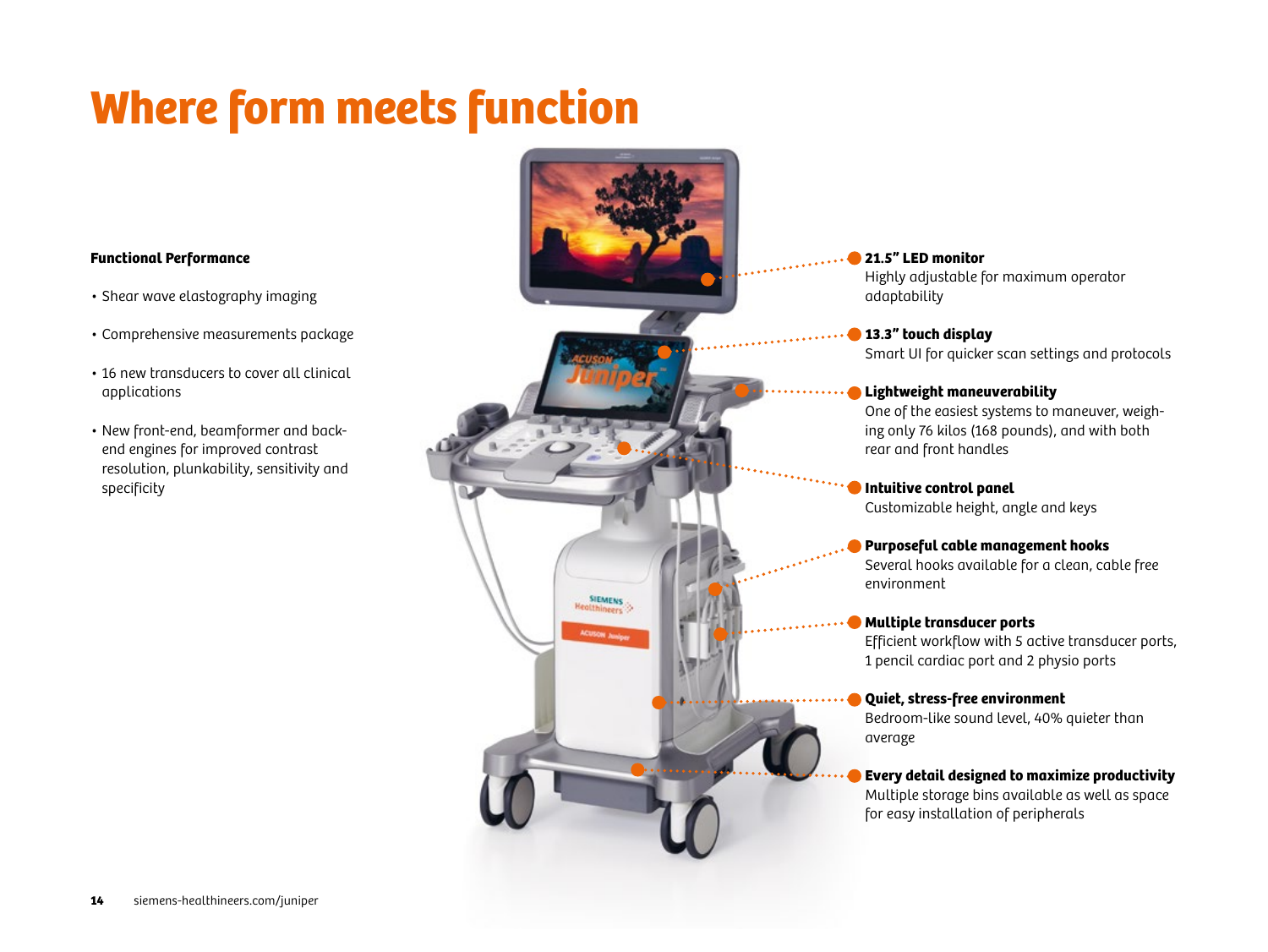# Where form meets function

### **Functional Performance**

- Shear wave elastography imaging
- Comprehensive measurements package
- 16 new transducers to cover all clinical applications
- New front-end, beamformer and backend engines for improved contrast resolution, plunkability, sensitivity and specificity

![](_page_13_Picture_6.jpeg)

### **21.5" LED monitor**

Highly adjustable for maximum operator adaptability

**13.3" touch display** Smart UI for quicker scan settings and protocols

### **Lightweight maneuverability**

One of the easiest systems to maneuver, weighing only 76 kilos (168 pounds), and with both rear and front handles

**Intuitive control panel** Customizable height, angle and keys

### **Purposeful cable management hooks**

Several hooks available for a clean, cable free environment

### **Multiple transducer ports**

Efficient workflow with 5 active transducer ports, 1 pencil cardiac port and 2 physio ports

**Quiet, stress-free environment**

Bedroom-like sound level, 40% quieter than average

### **Every detail designed to maximize productivity**

Multiple storage bins available as well as space for easy installation of peripherals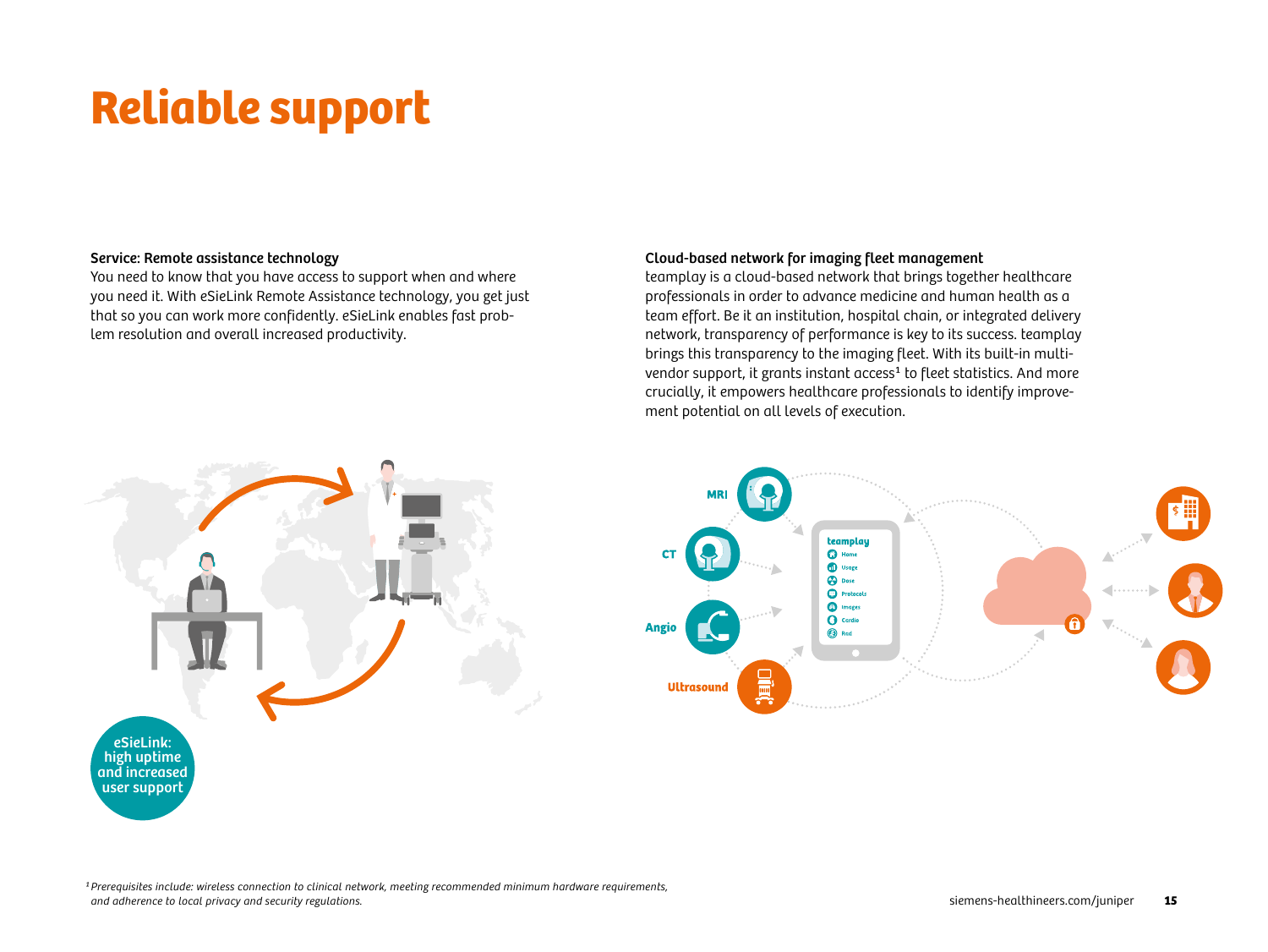# Reliable support

### Service: Remote assistance technology

You need to know that you have access to support when and where you need it. With eSieLink Remote Assistance technology, you get just that so you can work more confidently. eSieLink enables fast problem resolution and overall increased productivity.

### Cloud-based network for imaging fleet management

teamplay is a cloud-based network that brings together healthcare professionals in order to advance medicine and human health as a team effort. Be it an institution, hospital chain, or integrated delivery network, transparency of performance is key to its success. teamplay brings this transparency to the imaging fleet. With its built-in multivendor support, it grants instant access<sup>1</sup> to fleet statistics. And more crucially, it empowers healthcare professionals to identify improvement potential on all levels of execution.

![](_page_14_Figure_5.jpeg)

![](_page_14_Picture_6.jpeg)